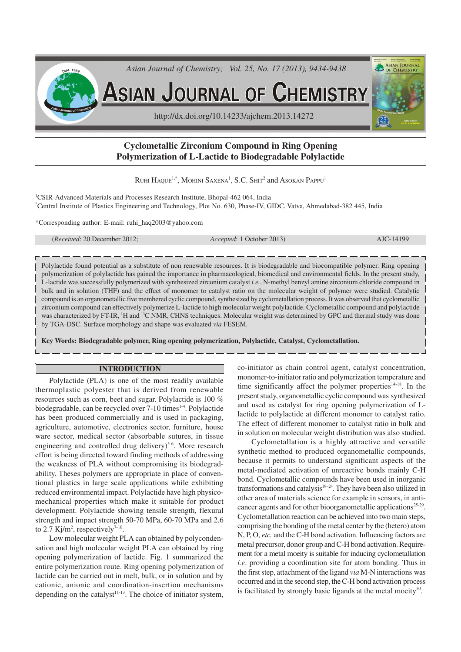

# **Cyclometallic Zirconium Compound in Ring Opening Polymerization of L-Lactide to Biodegradable Polylactide**

RUHI  $\rm H$ AQUE $^{1,*}$ , Mohini Saxena $^{1}$ , S.C. Shit $^{2}$  and Asokan Pappu $^{1}$ 

<sup>1</sup>CSIR-Advanced Materials and Processes Research Institute, Bhopal-462 064, India <sup>2</sup>Central Institute of Plastics Engineering and Technology, Plot No. 630, Phase-IV, GIDC, Vatva, Ahmedabad-382 445, India

\*Corresponding author: E-mail: ruhi\_haq2003@yahoo.com

(*Received*: 20 December 2012; *Accepted*: 1 October 2013) AJC-14199

Polylactide found potential as a substitute of non renewable resources. It is biodegradable and biocompatible polymer. Ring opening polymerization of polylactide has gained the importance in pharmacological, biomedical and environmental fields. In the present study, L-lactide was successfully polymerized with synthesized zirconium catalyst *i.e.*, N-methyl benzyl amine zirconium chloride compound in bulk and in solution (THF) and the effect of monomer to catalyst ratio on the molecular weight of polymer were studied. Catalytic compound is an organometallic five membered cyclic compound, synthesized by cyclometallation process. It was observed that cyclometallic zirconium compound can effectively polymerize L-lactide to high molecular weight polylactide. Cyclometallic compound and polylactide was characterized by FT-IR, <sup>1</sup>H and <sup>13</sup>C NMR, CHNS techniques. Molecular weight was determined by GPC and thermal study was done by TGA-DSC. Surface morphology and shape was evaluated *via* FESEM.

**Key Words: Biodegradable polymer, Ring opening polymerization, Polylactide, Catalyst, Cyclometallation.**

### **INTRODUCTION**

Polylactide (PLA) is one of the most readily available thermoplastic polyester that is derived from renewable resources such as corn, beet and sugar. Polylactide is 100 % biodegradable, can be recycled over  $7-10$  times<sup>1-4</sup>. Polylactide has been produced commercially and is used in packaging, agriculture, automotive, electronics sector, furniture, house ware sector, medical sector (absorbable sutures, in tissue engineering and controlled drug delivery)<sup>5-6</sup>. More research effort is being directed toward finding methods of addressing the weakness of PLA without compromising its biodegradability. Theses polymers are appropriate in place of conventional plastics in large scale applications while exhibiting reduced environmental impact. Polylactide have high physicomechanical properties which make it suitable for product development. Polylactide showing tensile strength, flexural strength and impact strength 50-70 MPa, 60-70 MPa and 2.6 to 2.7 Kj/m<sup>2</sup>, respectively<sup>7-10</sup>.

Low molecular weight PLA can obtained by polycondensation and high molecular weight PLA can obtained by ring opening polymerization of lactide. Fig. 1 summarized the entire polymerization route. Ring opening polymerization of lactide can be carried out in melt, bulk, or in solution and by cationic, anionic and coordination-insertion mechanisms depending on the catalyst<sup>11-13</sup>. The choice of initiator system,

co-initiator as chain control agent, catalyst concentration, monomer-to-initiator ratio and polymerization temperature and time significantly affect the polymer properties $14-18$ . In the present study, organometallic cyclic compound was synthesized and used as catalyst for ring opening polymerization of Llactide to polylactide at different monomer to catalyst ratio. The effect of different monomer to catalyst ratio in bulk and in solution on molecular weight distribution was also studied.

Cyclometallation is a highly attractive and versatile synthetic method to produced organometallic compounds, because it permits to understand significant aspects of the metal-mediated activation of unreactive bonds mainly C-H bond. Cyclometallic compounds have been used in inorganic transformations and catalysis<sup>19-24</sup>. They have been also utilized in other area of materials science for example in sensors, in anticancer agents and for other bioorganometallic applications<sup>25-29</sup>. Cyclometallation reaction can be achieved into two main steps, comprising the bonding of the metal center by the (hetero) atom N, P, O, *etc.* and the C-H bond activation. Influencing factors are metal precursor, donor group and C-H bond activation. Requirement for a metal moeity is suitable for inducing cyclometallation *i.e*. providing a coordination site for atom bonding. Thus in the first step, attachment of the ligand *via* M-N interactions was occurred and in the second step, the C-H bond activation process is facilitated by strongly basic ligands at the metal moeity $30$ .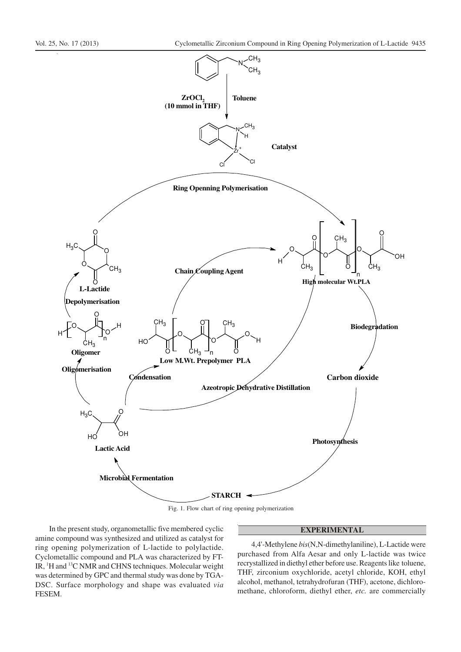

Fig. 1. Flow chart of ring opening polymerization

## **EXPERIMENTAL**

In the present study, organometallic five membered cyclic amine compound was synthesized and utilized as catalyst for ring opening polymerization of L-lactide to polylactide. Cyclometallic compound and PLA was characterized by FT-IR, <sup>1</sup>H and <sup>13</sup>C NMR and CHNS techniques. Molecular weight was determined by GPC and thermal study was done by TGA-DSC. Surface morphology and shape was evaluated *via* FESEM.

4,4'-Methylene *bis*(N,N-dimethylaniline), L-Lactide were purchased from Alfa Aesar and only L-lactide was twice recrystallized in diethyl ether before use. Reagents like toluene, THF, zirconium oxychloride, acetyl chloride, KOH, ethyl alcohol, methanol, tetrahydrofuran (THF), acetone, dichloromethane, chloroform, diethyl ether, *etc.* are commercially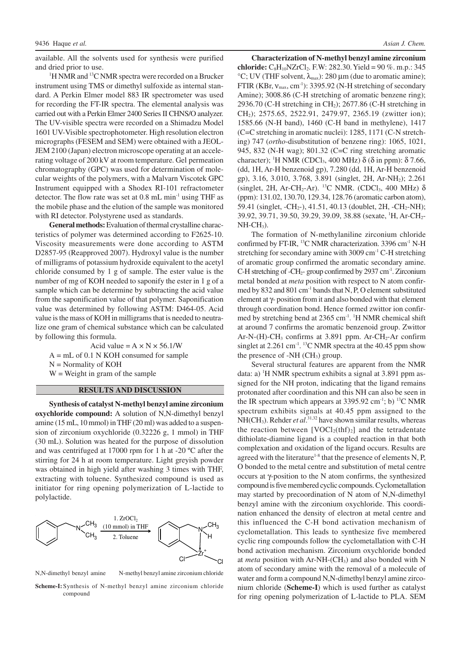available. All the solvents used for synthesis were purified and dried prior to use.

<sup>1</sup>H NMR and <sup>13</sup>C NMR spectra were recorded on a Brucker instrument using TMS or dimethyl sulfoxide as internal standard. A Perkin Elmer model 883 IR spectrometer was used for recording the FT-IR spectra. The elemental analysis was carried out with a Perkin Elmer 2400 Series II CHNS/O analyzer. The UV-visible spectra were recorded on a Shimadzu Model 1601 UV-Visible spectrophotometer. High resolution electron micrographs (FESEM and SEM) were obtained with a JEOL-JEM 2100 (Japan) electron microscope operating at an accelerating voltage of 200 kV at room temperature. Gel permeation chromatography (GPC) was used for determination of molecular weights of the polymers, with a Malvarn Viscotek GPC Instrument equipped with a Shodex RI-101 refractometer detector. The flow rate was set at  $0.8$  mL min<sup>-1</sup> using THF as the mobile phase and the elution of the sample was monitored with RI detector. Polystyrene used as standards.

**General methods:**Evaluation of thermal crystalline characteristics of polymer was determined according to F2625-10. Viscosity measurements were done according to ASTM D2857-95 (Reapproved 2007). Hydroxyl value is the number of milligrams of potassium hydroxide equivalent to the acetyl chloride consumed by 1 g of sample. The ester value is the number of mg of KOH needed to saponify the ester in 1 g of a sample which can be determine by subtracting the acid value from the saponification value of that polymer. Saponification value was determined by following ASTM: D464-05. Acid value is the mass of KOH in milligrams that is needed to neutralize one gram of chemical substance which can be calculated by following this formula.

Acid value =  $A \times N \times 56.1/W$  $A = mL of 0.1 N KOH$  consumed for sample  $N =$  Normality of KOH

 $W = Weight in gram of the sample$ 

#### **RESULTS AND DISCUSSION**

**Synthesis of catalyst N-methyl benzyl amine zirconium oxychloride compound:** A solution of N,N-dimethyl benzyl amine (15 mL, 10 mmol) in THF (20 ml) was added to a suspension of zirconium oxychloride (0.32226 g, 1 mmol) in THF (30 mL). Solution was heated for the purpose of dissolution and was centrifuged at 17000 rpm for 1 h at -20 ºC after the stirring for 24 h at room temperature. Light greyish powder was obtained in high yield after washing 3 times with THF, extracting with toluene. Synthesized compound is used as initiator for ring opening polymerization of L-lactide to polylactide.



N,N-dimethyl benzyl amine N-methyl benzyl amine zirconium chloride

**Scheme-I:** Synthesis of N-methyl benzyl amine zirconium chloride compound

**Characterization of N-methyl benzyl amine zirconium chloride:**  $C_8H_{10}NZrCl_2$ . F.W: 282.30. Yield = 90 %. m.p.: 345 °C; UV (THF solvent,  $\lambda_{\text{max}}$ ): 280  $\mu$ m (due to aromatic amine); FTIR (KBr,  $v_{\text{max}}$ , cm<sup>-1</sup>): 3395.92 (N-H stretching of secondary Amine); 3008.86 (C-H stretching of aromatic benzene ring); 2936.70 (C-H stretching in  $CH<sub>2</sub>$ ); 2677.86 (C-H stretching in CH2); 2575.65, 2522.91, 2479.97, 2365.19 (zwitter ion); 1585.66 (N-H band), 1460 (C-H band in methylene), 1417 (C=C stretching in aromatic nuclei): 1285, 1171 (C-N stretching) 747 (*ortho*-disubstitution of benzene ring): 1065, 1021, 945, 832 (N-H wag); 801.32 (C=C ring stretching aromatic character); <sup>1</sup>H NMR (CDCl<sub>3</sub>, 400 MHz)  $\delta$  (δ in ppm): δ 7.66, (dd, 1H, Ar-H benzenoid gp), 7.280 (dd, 1H, Ar-H benzenoid gp), 3.16, 3.010, 3.768, 3.891 (singlet, 2H, Ar-NH2); 2.261 (singlet, 2H, Ar-CH<sub>2</sub>-Ar). <sup>13</sup>C NMR. (CDCl<sub>3</sub>, 400 MHz)  $\delta$ (ppm): 131.02, 130.70, 129.34, 128.76 (aromatic carbon atom), 59.41 (singlet,  $-CH_2$ ), 41.51, 40.13 (doublet, 2H,  $-CH_2-NH$ ); 39.92, 39.71, 39.50, 39.29, 39.09, 38.88 (sexate, <sup>1</sup>H, Ar-CH2-  $NH-CH<sub>3</sub>$ ).

The formation of N-methylaniline zirconium chloride confirmed by FT-IR, <sup>13</sup>C NMR characterization. 3396 cm<sup>-1</sup> N-H stretching for secondary amine with 3009 cm<sup>-1</sup> C-H stretching of aromatic group confirmed the aromatic secondary amine. C-H stretching of -CH<sub>2</sub>- group confirmed by 2937 cm<sup>-1</sup>. Zirconium metal bonded at *meta* position with respect to N atom confirmed by 832 and 801 cm-1 bands that N, P, O element substituted element at γ- position from it and also bonded with that element through coordination bond. Hence formed zwittor ion confirmed by stretching bend at 2365 cm<sup>-1</sup>. <sup>1</sup>H NMR chemical shift at around 7 confirms the aromatic benzenoid group. Zwittor  $Ar-N-(H)-CH_3$  confirms at 3.891 ppm. Ar-CH<sub>2</sub>-Ar confirm singlet at 2.261 cm<sup>-1</sup>. <sup>13</sup>C NMR spectra at the 40.45 ppm show the presence of  $-NH$  (CH<sub>3</sub>) group.

Several structural features are apparent from the NMR data: a)  $\rm{^1H}$  NMR spectrum exhibits a signal at 3.891 ppm assigned for the NH proton, indicating that the ligand remains protonated after coordination and this NH can also be seen in the IR spectrum which appears at  $3395.92 \text{ cm}^{-1}$ ; b) <sup>13</sup>C NMR spectrum exhibits signals at 40.45 ppm assigned to the NH(CH3). Rehder *et al*. 31,32 have shown similar results, whereas the reaction between  $[VOCl<sub>2</sub>(thf)<sub>2</sub>]$  and the tetradentate dithiolate-diamine ligand is a coupled reaction in that both complexation and oxidation of the ligand occurs. Results are agreed with the literature<sup>1-8</sup> that the presence of elements N, P, O bonded to the metal centre and substitution of metal centre occurs at γ-position to the N atom confirms, the synthesized compound is five membered cyclic compounds. Cyclometallation may started by precoordination of N atom of N,N-dimethyl benzyl amine with the zirconium oxychloride. This coordination enhanced the density of electron at metal centre and this influenced the C-H bond activation mechanism of cyclometallation. This leads to synthesize five membered cyclic ring compounds follow the cyclometallation with C-H bond activation mechanism. Zirconium oxychloride bonded at *meta* position with Ar-NH-(CH3) and also bonded with N atom of secondary amine with the removal of a molecule of water and form a compound N,N-dimethyl benzyl amine zirconium chloride (**Scheme-I**) which is used further as catalyst for ring opening polymerization of L-lactide to PLA. SEM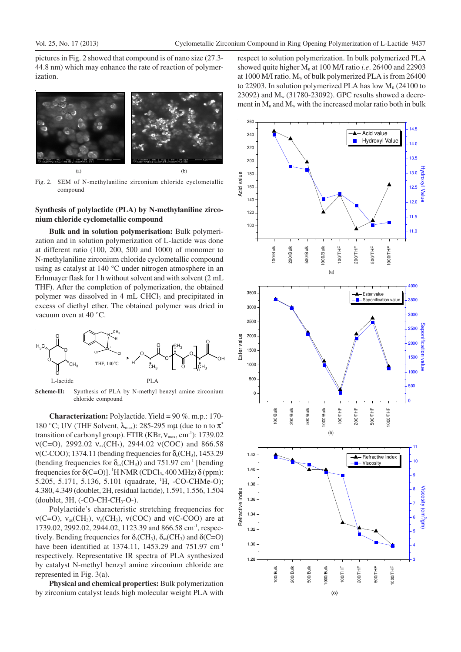pictures in Fig. 2 showed that compound is of nano size (27.3- 44.8 nm) which may enhance the rate of reaction of polymerization.



 $(a)$  (b)

Fig. 2. SEM of N-methylaniline zirconium chloride cyclometallic compound

#### **Synthesis of polylactide (PLA) by N-methylaniline zirconium chloride cyclometallic compound**

**Bulk and in solution polymerisation:** Bulk polymerization and in solution polymerization of L-lactide was done at different ratio (100, 200, 500 and 1000) of monomer to N-methylaniline zirconium chloride cyclometallic compound using as catalyst at 140 °C under nitrogen atmosphere in an Erlnmayer flask for 1 h without solvent and with solvent (2 mL THF). After the completion of polymerization, the obtained polymer was dissolved in 4 mL CHCl<sub>3</sub> and precipitated in excess of diethyl ether. The obtained polymer was dried in vacuum oven at 40 °C.



**Scheme-II:** Synthesis of PLA by N-methyl benzyl amine zirconium chloride compound

**Characterization:** Polylactide. Yield = 90 %. m.p.: 170- 180 °C; UV (THF Solvent,  $\lambda_{\text{max}}$ ): 285-295 mµ (due to n to  $\pi^*$ transition of carbonyl group). FTIR (KBr, v<sub>max</sub>, cm<sup>-1</sup>): 1739.02  $ν(C=O)$ , 2992.02  $ν_{as}(CH_3)$ , 2944.02  $ν(COC)$  and 866.58  $v(C-COO)$ ; 1374.11 (bending frequencies for δ<sub>s</sub>(CH<sub>3</sub>), 1453.29 (bending frequencies for  $\delta_{as}(CH_3)$ ) and 751.97 cm<sup>-1</sup> [bending] frequencies for  $\delta$ (C=O)]. <sup>1</sup>H NMR (CDCl<sub>3</sub>, 400 MHz)  $\delta$  (ppm): 5.205, 5.171, 5.136, 5.101 (quadrate, <sup>1</sup>H, -CO-CHMe-O); 4.380, 4.349 (doublet, 2H, residual lactide), 1.591, 1.556, 1.504  $(doublet, 3H, (-CO-CH-CH<sub>3</sub>-O<sub>-</sub>).$ 

Polylactide's characteristic stretching frequencies for  $v(C=O)$ ,  $v_{as}(CH_3)$ ,  $v_s(CH_3)$ ,  $v(COC)$  and  $v(C-COO)$  are at 1739.02, 2992.02, 2944.02, 1123.39 and 866.58 cm<sup>-1</sup>, respectively. Bending frequencies for  $\delta_s$ (CH<sub>3</sub>),  $\delta_{as}$ (CH<sub>3</sub>) and  $\delta$ (C=O) have been identified at 1374.11, 1453.29 and 751.97 cm<sup>-1</sup> respectively. Representative IR spectra of PLA synthesized by catalyst N-methyl benzyl amine zirconium chloride are represented in Fig. 3(a).

**Physical and chemical properties:** Bulk polymerization by zirconium catalyst leads high molecular weight PLA with

respect to solution polymerization. In bulk polymerized PLA showed quite higher  $M<sub>n</sub>$  at 100 M/I ratio *i.e.* 26400 and 22903 at 1000 M/I ratio.  $M_w$  of bulk polymerized PLA is from 26400 to 22903. In solution polymerized PLA has low  $M_n$  (24100 to 23092) and  $M_w$  (31780-23092). GPC results showed a decrement in  $M_n$  and  $M_w$  with the increased molar ratio both in bulk